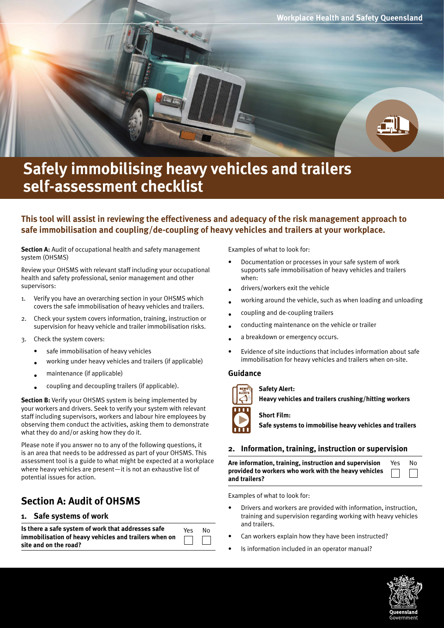

# **Safely immobilising heavy vehicles and trailers self-assessment checklist**

# **This tool will assist in reviewing the effectiveness and adequacy of the risk management approach to safe immobilisation and coupling/de-coupling of heavy vehicles and trailers at your workplace.**

**Section A:** Audit of occupational health and safety management system (OHSMS)

Review your OHSMS with relevant staff including your occupational health and safety professional, senior management and other supervisors:

- 1. Verify you have an overarching section in your OHSMS which covers the safe immobilisation of heavy vehicles and trailers.
- 2. Check your system covers information, training, instruction or supervision for heavy vehicle and trailer immobilisation risks.
- 3. Check the system covers:
	- safe immobilisation of heavy vehicles
	- working under heavy vehicles and trailers (if applicable)
	- maintenance (if applicable)
	- coupling and decoupling trailers (if applicable).

**Section B:** Verify your OHSMS system is being implemented by your workers and drivers. Seek to verify your system with relevant staff including supervisors, workers and labour hire employees by observing them conduct the activities, asking them to demonstrate what they do and/or asking how they do it.

Please note if you answer no to any of the following questions, it is an area that needs to be addressed as part of your OHSMS. This assessment tool is a guide to what might be expected at a workplace where heavy vehicles are present—it is not an exhaustive list of potential issues for action.

# **Section A: Audit of OHSMS**

#### **1. Safe systems of work**

| Is there a safe system of work that addresses safe    | Yes | No. |
|-------------------------------------------------------|-----|-----|
| immobilisation of heavy vehicles and trailers when on |     |     |
| site and on the road?                                 |     |     |

Examples of what to look for:

- Documentation or processes in your safe system of work supports safe immobilisation of heavy vehicles and trailers when:
- drivers/workers exit the vehicle
- working around the vehicle, such as when loading and unloading
- coupling and de-coupling trailers
- conducting maintenance on the vehicle or trailer
- a breakdown or emergency occurs.
- Evidence of site inductions that includes information about safe immobilisation for heavy vehicles and trailers when on-site.

### **Guidance**

#### **[Safety Alert:](https://www.worksafe.qld.gov.au/injury-prevention-safety/safety-alerts/whsq/2014/heavy-vehicles-and-trailers-hitting-or-crushing-workers)**

**[Heavy vehicles and trailers crushing/hitting workers](https://www.worksafe.qld.gov.au/injury-prevention-safety/safety-alerts/whsq/2014/heavy-vehicles-and-trailers-hitting-or-crushing-workers)**



**[Short Film:](https://www.worksafe.qld.gov.au/forms-and-resources/films/safe-systems-to-immobilise-heavy-vehicles-and-trailers)** 

**[Safe systems to immobilise heavy vehicles and trailers](https://www.worksafe.qld.gov.au/forms-and-resources/films/safe-systems-to-immobilise-heavy-vehicles-and-trailers)**

#### **2. Information, training, instruction or supervision**

| Are information, training, instruction and supervision      | Yes | No |
|-------------------------------------------------------------|-----|----|
| provided to workers who work with the heavy vehicles $\Box$ |     |    |
| and trailers?                                               |     |    |

Examples of what to look for:

- Drivers and workers are provided with information, instruction, training and supervision regarding working with heavy vehicles and trailers.
- Can workers explain how they have been instructed?
- Is information included in an operator manual?